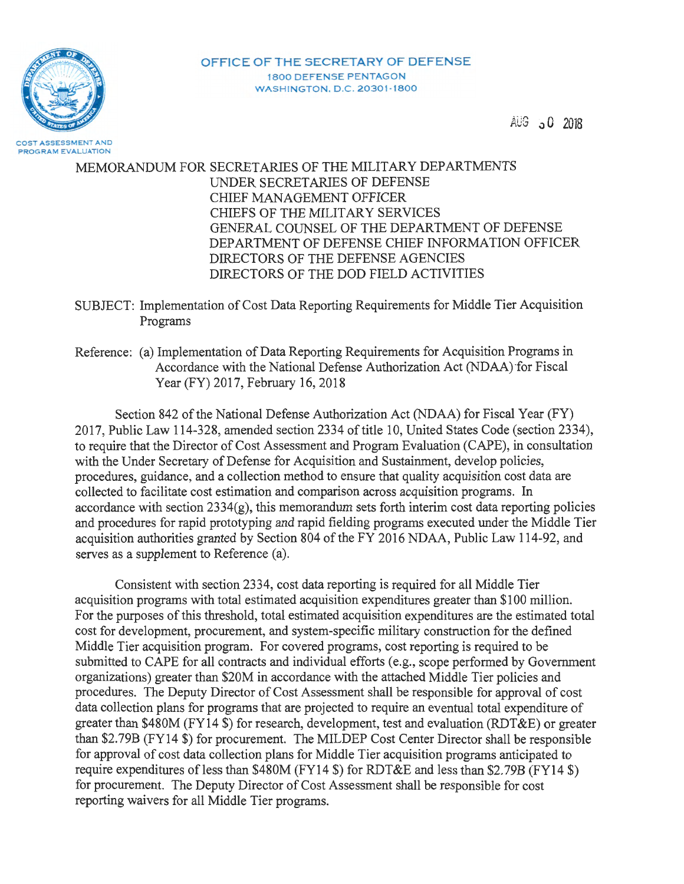

PROGRAM EVALUATION

**OFFICE OF THE SECRETARY OF DEFENSE**  1800 DEFENSE **PENTAGON WASHINGTON. D.C. 20301-1800** 

 $AUG = 0.2018$ 

# MEMORANDUM FOR SECRETARIES OF THE MILITARY DEPARTMENTS UNDER SECRET ARIES OF DEFENSE CHIEF MANAGEMENT OFFICER CHIEFS OF THE MILITARY SERVICES GENERAL COUNSEL OF THE DEPARTMENT OF DEFENSE DEPARTMENT OF DEFENSE CHIEF INFORMATION OFFICER DIRECTORS OF THE DEFENSE AGENCIES DIRECTORS OF THE DOD FIELD ACTIVITIES

SUBJECT: Implementation of Cost Data Reporting Requirements for Middle Tier Acquisition Programs

Reference: (a) Implementation of Data Reporting Requirements for Acquisition Programs in Accordance with the National Defense Authorization Act (NDAA) for Fiscal Year (FY) 2017, February 16, 2018

Section 842 of the National Defense Authorization Act (NDAA) for Fiscal Year (FY) 2017, Public Law 114-328, amended section 2334 of title 10, United States Code (section 2334), to require that the Director of Cost Assessment and Program Evaluation (CAPE), in consultation with the Under Secretary of Defense for Acquisition and Sustainment, develop policies, procedures, guidance, and a collection method to ensure that quality acquisition cost data are collected to facilitate cost estimation and comparison across acquisition programs. In accordance with section  $2334(g)$ , this memorandum sets forth interim cost data reporting policies and procedures for rapid prototyping and rapid fielding programs executed under the Middle Tier acquisition authorities granted by Section 804 of the FY 2016 NDAA, Public Law 114-92, and serves as a supplement to Reference (a).

Consistent with section 2334, cost data reporting is required for all Middle Tier acquisition programs with total estimated acquisition expenditures greater than \$100 million. For the purposes of this threshold, total estimated acquisition expenditures are the estimated total cost for development, procurement, and system-specific military construction for the defined Middle Tier acquisition program. For covered programs, cost reporting is required to be submitted to CAPE for all contracts and individual efforts (e.g., scope performed by Government organizations) greater than \$20M in accordance with the attached Middle Tier policies and procedures. The Deputy Director of Cost Assessment shall be responsible for approval of cost data collection plans for programs that are projected to require an eventual total expenditure of greater than \$480M (FY14 \$) for research, development, test and evaluation (RDT&E) or greater than \$2.79B (FY14 \$) for procurement. The MILDEP Cost Center Director shall be responsible for approval of cost data collection plans for Middle Tier acquisition programs anticipated to require expenditures of less than \$480M (FY14 \$) for RDT&E and less than \$2.79B (FY14 \$) for procurement. The Deputy Director of Cost Assessment shall be responsible for cost reporting waivers for all Middle Tier programs.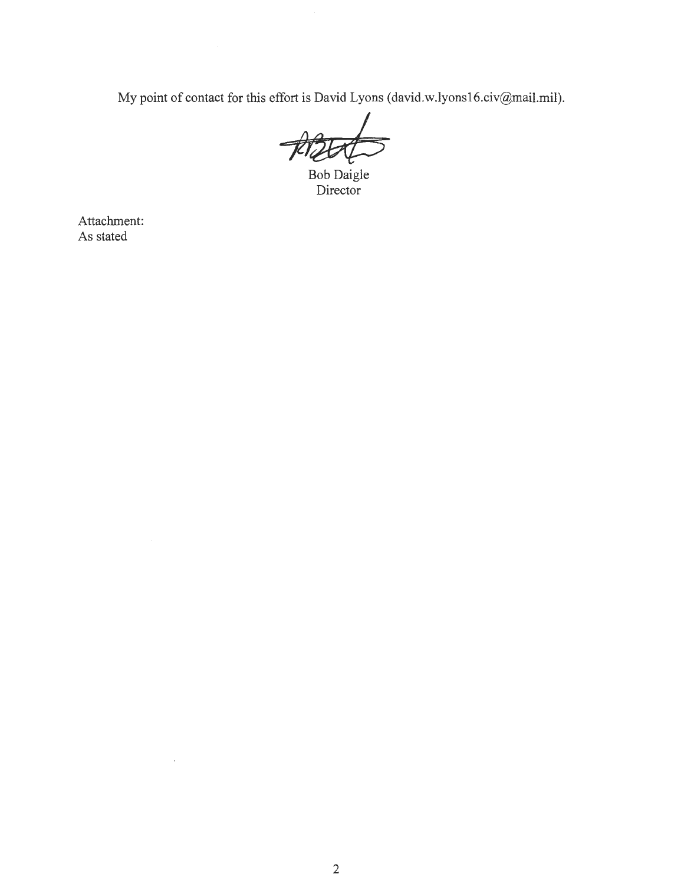My point of contact for this effort is David Lyons (david.w.lyonsl6.civ@mail.mil).

Bob Daigle Director

Attachment: As stated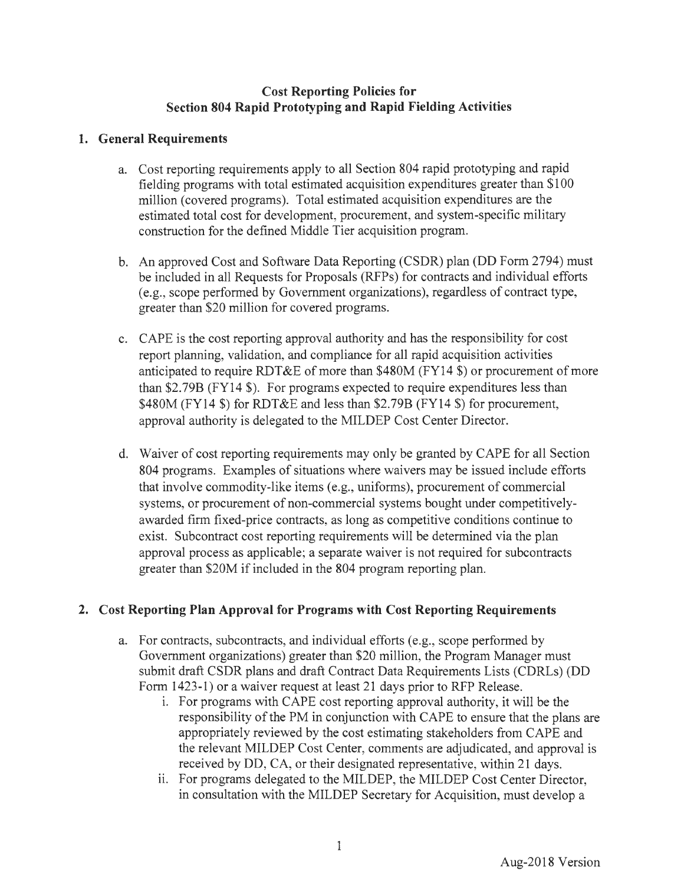## **Cost Reporting Policies for Section 804 Rapid Prototyping and Rapid Fielding Activities**

## **1. General Requirements**

- a. Cost reporting requirements apply to all Section 804 rapid prototyping and rapid fielding programs with total estimated acquisition expenditures greater than \$100 million (covered programs). Total estimated acquisition expenditures are the estimated total cost for development, procurement, and system-specific military construction for the defined Middle Tier acquisition program.
- b. An approved Cost and Software Data Reporting (CSDR) plan (DD Form 2794) must be included in all Requests for Proposals (RFPs) for contracts and individual efforts (e.g., scope performed by Government organizations), regardless of contract type, greater than \$20 million for covered programs.
- c. CAPE is the cost reporting approval authority and has the responsibility for cost report planning, validation, and compliance for all rapid acquisition activities anticipated to require RDT&E of more than \$480M (FY14 \$) or procurement of more than \$2.79B (FY14 \$). For programs expected to require expenditures less than \$480M (FY14 \$) for RDT&E and less than \$2.79B (FY14 \$) for procurement, approval authority is delegated to the MILDEP Cost Center Director.
- d. Waiver of cost reporting requirements may only be granted by CAPE for all Section 804 programs. Examples of situations where waivers may be issued include efforts that involve commodity-like items (e.g., uniforms), procurement of commercial systems, or procurement of non-commercial systems bought under competitivelyawarded firm fixed-price contracts, as long as competitive conditions continue to exist. Subcontract cost reporting requirements will be determined via the plan approval process as applicable; a separate waiver is not required for subcontracts greater than \$20M if included in the 804 program reporting plan.

## **2. Cost Reporting Plan Approval for Programs with Cost Reporting Requirements**

- a. For contracts, subcontracts, and individual efforts (e.g., scope performed by Government organizations) greater than \$20 million, the Program Manager must submit draft CSDR plans and draft Contract Data Requirements Lists (CDRLs) (DD Form 1423-1) or a waiver request at least 21 days prior to RFP Release.
	- 1. For programs with CAPE cost reporting approval authority, it will be the responsibility of the PM in conjunction with CAPE to ensure that the plans are appropriately reviewed by the cost estimating stakeholders from CAPE and the relevant MILDEP Cost Center, comments are adjudicated, and approval is received by DD, CA, or their designated representative, within 21 days.
	- ii. For programs delegated to the MILDEP, the MILDEP Cost Center Director, in consultation with the MILDEP Secretary for Acquisition, must develop a